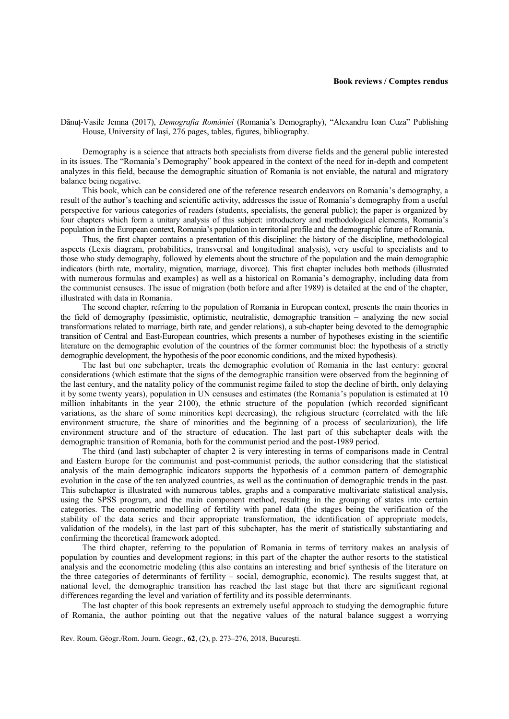## **Book reviews / Comptes rendus**

Dănuț-Vasile Jemna (2017), *Demografia României* (Romania's Demography), "Alexandru Ioan Cuza" Publishing House, University of Iași, 276 pages, tables, figures, bibliography.

Demography is a science that attracts both specialists from diverse fields and the general public interested in its issues. The "Romania's Demography" book appeared in the context of the need for in-depth and competent analyzes in this field, because the demographic situation of Romania is not enviable, the natural and migratory balance being negative.

This book, which can be considered one of the reference research endeavors on Romania's demography, a result of the author's teaching and scientific activity, addresses the issue of Romania's demography from a useful perspective for various categories of readers (students, specialists, the general public); the paper is organized by four chapters which form a unitary analysis of this subject: introductory and methodological elements, Romania's population in the European context, Romania's population in territorial profile and the demographic future of Romania.

Thus, the first chapter contains a presentation of this discipline: the history of the discipline, methodological aspects (Lexis diagram, probabilities, transversal and longitudinal analysis), very useful to specialists and to those who study demography, followed by elements about the structure of the population and the main demographic indicators (birth rate, mortality, migration, marriage, divorce). This first chapter includes both methods (illustrated with numerous formulas and examples) as well as a historical on Romania's demography, including data from the communist censuses. The issue of migration (both before and after 1989) is detailed at the end of the chapter, illustrated with data in Romania.

The second chapter, referring to the population of Romania in European context, presents the main theories in the field of demography (pessimistic, optimistic, neutralistic, demographic transition – analyzing the new social transformations related to marriage, birth rate, and gender relations), a sub-chapter being devoted to the demographic transition of Central and East-European countries, which presents a number of hypotheses existing in the scientific literature on the demographic evolution of the countries of the former communist bloc: the hypothesis of a strictly demographic development, the hypothesis of the poor economic conditions, and the mixed hypothesis).

The last but one subchapter, treats the demographic evolution of Romania in the last century: general considerations (which estimate that the signs of the demographic transition were observed from the beginning of the last century, and the natality policy of the communist regime failed to stop the decline of birth, only delaying it by some twenty years), population in UN censuses and estimates (the Romania's population is estimated at 10 million inhabitants in the year 2100), the ethnic structure of the population (which recorded significant variations, as the share of some minorities kept decreasing), the religious structure (correlated with the life environment structure, the share of minorities and the beginning of a process of secularization), the life environment structure and of the structure of education. The last part of this subchapter deals with the demographic transition of Romania, both for the communist period and the post-1989 period.

The third (and last) subchapter of chapter 2 is very interesting in terms of comparisons made in Central and Eastern Europe for the communist and post-communist periods, the author considering that the statistical analysis of the main demographic indicators supports the hypothesis of a common pattern of demographic evolution in the case of the ten analyzed countries, as well as the continuation of demographic trends in the past. This subchapter is illustrated with numerous tables, graphs and a comparative multivariate statistical analysis, using the SPSS program, and the main component method, resulting in the grouping of states into certain categories. The econometric modelling of fertility with panel data (the stages being the verification of the stability of the data series and their appropriate transformation, the identification of appropriate models, validation of the models), in the last part of this subchapter, has the merit of statistically substantiating and confirming the theoretical framework adopted.

The third chapter, referring to the population of Romania in terms of territory makes an analysis of population by counties and development regions; in this part of the chapter the author resorts to the statistical analysis and the econometric modeling (this also contains an interesting and brief synthesis of the literature on the three categories of determinants of fertility – social, demographic, economic). The results suggest that, at national level, the demographic transition has reached the last stage but that there are significant regional differences regarding the level and variation of fertility and its possible determinants.

The last chapter of this book represents an extremely useful approach to studying the demographic future of Romania, the author pointing out that the negative values of the natural balance suggest a worrying

Rev. Roum. Géogr./Rom. Journ. Geogr., **62**, (2), p. 273–276, 2018, Bucureşti.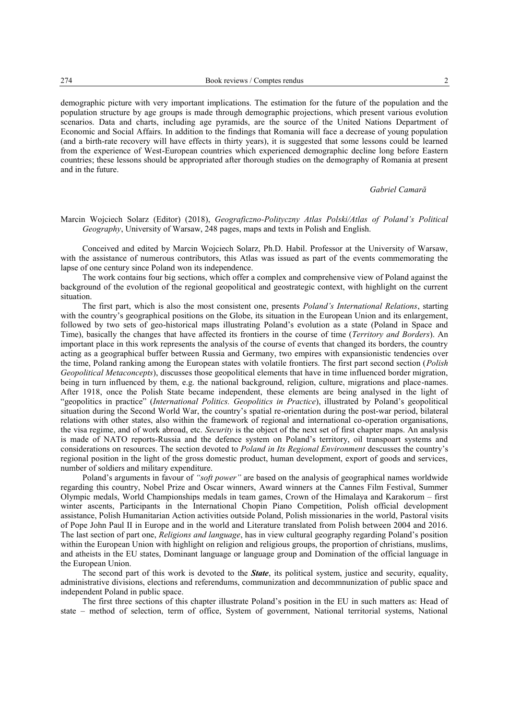demographic picture with very important implications. The estimation for the future of the population and the population structure by age groups is made through demographic projections, which present various evolution scenarios. Data and charts, including age pyramids, are the source of the United Nations Department of Economic and Social Affairs. In addition to the findings that Romania will face a decrease of young population (and a birth-rate recovery will have effects in thirty years), it is suggested that some lessons could be learned from the experience of West-European countries which experienced demographic decline long before Eastern countries; these lessons should be appropriated after thorough studies on the demography of Romania at present and in the future.

## *Gabriel Camară*

## Marcin Wojciech Solarz (Editor) (2018), *Geograficzno-Polityczny Atlas Polski/Atlas of Poland's Political Geography*, University of Warsaw, 248 pages, maps and texts in Polish and English.

Conceived and edited by Marcin Wojciech Solarz, Ph.D. Habil. Professor at the University of Warsaw, with the assistance of numerous contributors, this Atlas was issued as part of the events commemorating the lapse of one century since Poland won its independence.

The work contains four big sections, which offer a complex and comprehensive view of Poland against the background of the evolution of the regional geopolitical and geostrategic context, with highlight on the current situation.

The first part, which is also the most consistent one, presents *Poland's International Relations*, starting with the country's geographical positions on the Globe, its situation in the European Union and its enlargement, followed by two sets of geo-historical maps illustrating Poland's evolution as a state (Poland in Space and Time), basically the changes that have affected its frontiers in the course of time (*Territory and Borders*). An important place in this work represents the analysis of the course of events that changed its borders, the country acting as a geographical buffer between Russia and Germany, two empires with expansionistic tendencies over the time, Poland ranking among the European states with volatile frontiers. The first part second section (*Polish Geopolitical Metaconcepts*), discusses those geopolitical elements that have in time influenced border migration, being in turn influenced by them, e.g. the national background, religion, culture, migrations and place-names. After 1918, once the Polish State became independent, these elements are being analysed in the light of "geopolitics in practice" (*International Politics. Geopolitics in Practice*), illustrated by Poland's geopolitical situation during the Second World War, the country's spatial re-orientation during the post-war period, bilateral relations with other states, also within the framework of regional and international co-operation organisations, the visa regime, and of work abroad, etc. *Security* is the object of the next set of first chapter maps. An analysis is made of NATO reports-Russia and the defence system on Poland's territory, oil transpoart systems and considerations on resources. The section devoted to *Poland in Its Regional Environment* descusses the country's regional position in the light of the gross domestic product, human development, export of goods and services, number of soldiers and military expenditure.

Poland's arguments in favour of *"soft power"* are based on the analysis of geographical names worldwide regarding this country, Nobel Prize and Oscar winners, Award winners at the Cannes Film Festival, Summer Olympic medals, World Championships medals in team games, Crown of the Himalaya and Karakorum – first winter ascents, Participants in the International Chopin Piano Competition, Polish official development assistance, Polish Humanitarian Action activities outside Poland, Polish missionaries in the world, Pastoral visits of Pope John Paul II in Europe and in the world and Literature translated from Polish between 2004 and 2016. The last section of part one, *Religions and language*, has in view cultural geography regarding Poland's position within the European Union with highlight on religion and religious groups, the proportion of christians, muslims, and atheists in the EU states, Dominant language or language group and Domination of the official language in the European Union.

The second part of this work is devoted to the *State*, its political system, justice and security, equality, administrative divisions, elections and referendums, communization and decommnunization of public space and independent Poland in public space.

The first three sections of this chapter illustrate Poland's position in the EU in such matters as: Head of state – method of selection, term of office, System of government, National territorial systems, National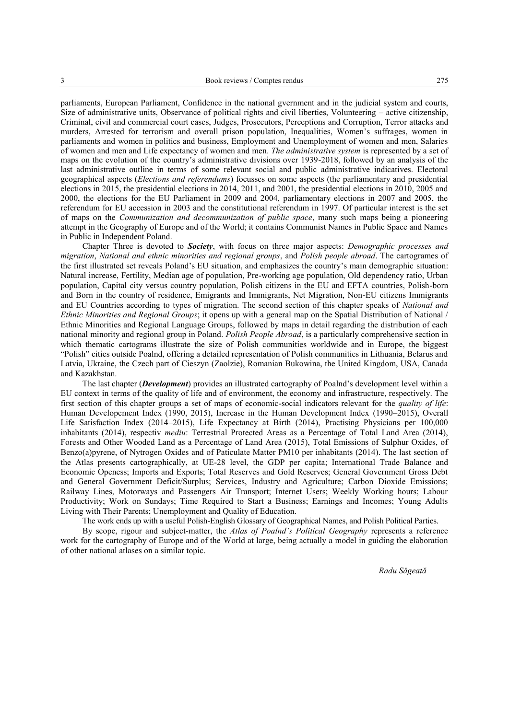parliaments, European Parliament, Confidence in the national gvernment and in the judicial system and courts, Size of administrative units, Observance of political rights and civil liberties, Volunteering – active citizenship, Criminal, civil and commercial court cases, Judges, Prosecutors, Perceptions and Corruption, Terror attacks and murders, Arrested for terrorism and overall prison population, Inequalities, Women's suffrages, women in parliaments and women in politics and business, Employment and Unemployment of women and men, Salaries of women and men and Life expectancy of women and men. *The administrative system* is represented by a set of maps on the evolution of the country's administrative divisions over 1939-2018, followed by an analysis of the last administrative outline in terms of some relevant social and public administrative indicatives. Electoral geographical aspects (*Elections and referendums*) focusses on some aspects (the parliamentary and presidential elections in 2015, the presidential elections in 2014, 2011, and 2001, the presidential elections in 2010, 2005 and 2000, the elections for the EU Parliament in 2009 and 2004, parliamentary elections in 2007 and 2005, the referendum for EU accession in 2003 and the constitutional referendum in 1997. Of particular interest is the set of maps on the *Communization and decommunization of public space*, many such maps being a pioneering attempt in the Geography of Europe and of the World; it contains Communist Names in Public Space and Names in Public in Independent Poland.

Chapter Three is devoted to *Society*, with focus on three major aspects: *Demographic processes and migration*, *National and ethnic minorities and regional groups*, and *Polish people abroad*. The cartogrames of the first illustrated set reveals Poland's EU situation, and emphasizes the country's main demographic situation: Natural increase, Fertility, Median age of population, Pre-working age population, Old dependency ratio, Urban population, Capital city versus country population, Polish citizens in the EU and EFTA countries, Polish-born and Born in the country of residence, Emigrants and Immigrants, Net Migration, Non-EU citizens Immigrants and EU Countries according to types of migration. The second section of this chapter speaks of *National and Ethnic Minorities and Regional Groups*; it opens up with a general map on the Spatial Distribution of National / Ethnic Minorities and Regional Language Groups, followed by maps in detail regarding the distribution of each national minority and regional group in Poland. *Polish People Abroad*, is a particularly comprehensive section in which thematic cartograms illustrate the size of Polish communities worldwide and in Europe, the biggest "Polish" cities outside Poalnd, offering a detailed representation of Polish communities in Lithuania, Belarus and Latvia, Ukraine, the Czech part of Cieszyn (Zaolzie), Romanian Bukowina, the United Kingdom, USA, Canada and Kazakhstan.

The last chapter (*Development*) provides an illustrated cartography of Poalnd's development level within a EU context in terms of the quality of life and of environment, the economy and infrastructure, respectively. The first section of this chapter groups a set of maps of economic-social indicators relevant for the *quality of life*: Human Developement Index (1990, 2015), Increase in the Human Development Index (1990–2015), Overall Life Satisfaction Index (2014–2015), Life Expectancy at Birth (2014), Practising Physicians per 100,000 inhabitants (2014), respectiv *mediu*: Terrestrial Protected Areas as a Percentage of Total Land Area (2014), Forests and Other Wooded Land as a Percentage of Land Area (2015), Total Emissions of Sulphur Oxides, of Benzo(a)pyrene, of Nytrogen Oxides and of Paticulate Matter PM10 per inhabitants (2014). The last section of the Atlas presents cartographically, at UE-28 level, the GDP per capita; International Trade Balance and Economic Openess; Imports and Exports; Total Reserves and Gold Reserves; General Government Gross Debt and General Government Deficit/Surplus; Services, Industry and Agriculture; Carbon Dioxide Emissions; Railway Lines, Motorways and Passengers Air Transport; Internet Users; Weekly Working hours; Labour Productivity; Work on Sundays; Time Required to Start a Business; Earnings and Incomes; Young Adults Living with Their Parents; Unemployment and Quality of Education.

The work ends up with a useful Polish-English Glossary of Geographical Names, and Polish Political Parties.

By scope, rigour and subject-matter, the *Atlas of Poalnd's Political Geography* represents a reference work for the cartography of Europe and of the World at large, being actually a model in guiding the elaboration of other national atlases on a similar topic.

*Radu Săgeată*